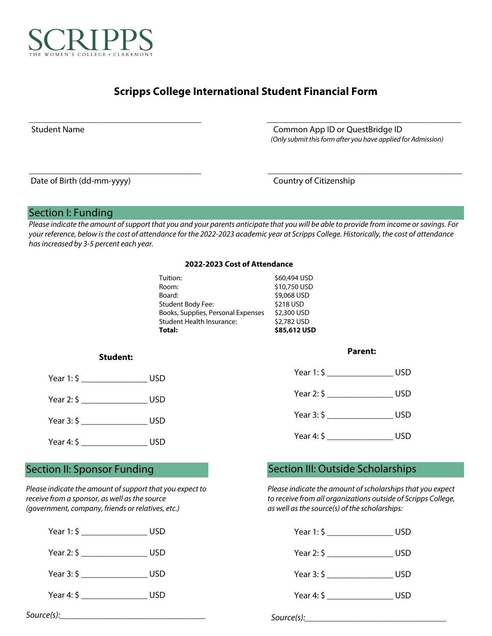

# **Scripps College International Student Financial Form**

\_\_\_\_\_\_\_\_\_\_\_\_\_\_\_\_\_\_\_\_\_\_\_\_\_\_\_\_\_\_\_\_\_\_\_\_\_\_\_ \_\_\_\_\_\_\_\_\_\_\_\_\_\_\_\_\_\_\_\_\_\_\_\_\_\_\_\_\_\_\_\_\_\_\_\_\_\_\_\_\_\_\_\_

\_\_\_\_\_\_\_\_\_\_\_\_\_\_\_\_\_\_\_\_\_\_\_\_\_\_\_\_\_\_\_\_\_\_\_\_\_\_\_ \_\_\_\_\_\_\_\_\_\_\_\_\_\_\_\_\_\_\_\_\_\_\_\_\_\_\_\_\_\_\_\_\_\_\_\_\_\_\_\_\_\_\_\_

Student Name Common App ID or QuestBridge ID  *(Only submit this form after you have applied for Admission)*

Date of Birth (dd-mm-yyyy) Country of Citizenship

## Section I: Funding

*Please indicate the amount of support that you and your parents anticipate that you will be able to provide from income or savings. For your reference, below is the cost of attendance for the 2022-2023 academic year at Scripps College. Historically, the cost of attendance has increased by 3-5 percent each year.* 

### **2022-2023 Cost of Attendance**

| Total:                             | \$85,612 USD |
|------------------------------------|--------------|
| Student Health Insurance:          | \$2,782 USD  |
| Books, Supplies, Personal Expenses | \$2,300 USD  |
| <b>Student Body Fee:</b>           | \$218 USD    |
| Board:                             | \$9,068 USD  |
| Room:                              | \$10,750 USD |
| Tuition:                           | \$60,494 USD |
|                                    |              |

### **Student:**



# Year 4: \$ \_\_\_\_\_\_\_\_\_\_\_\_\_\_\_\_\_\_\_\_\_ USD

*Please indicate the amount of support that you expect to receive from a sponsor, as well as the source (government, company, friends or relatives, etc.)*

| Year 1: $\zeta$                          | USD        |
|------------------------------------------|------------|
| Year 2: \$                               | <b>USD</b> |
| Year 3: \$                               | USD        |
| Year 4: $\zeta$ $\overline{\phantom{0}}$ | USD        |

### **Parent:**

| Year $1:$ \$    | USD        |
|-----------------|------------|
| Year 2: \$      | <b>USD</b> |
| Year 3: \$      | <b>USD</b> |
| Year 4: $\zeta$ | USD        |

# Section II: Sponsor Funding Section III: Outside Scholarships

*Please indicate the amount of scholarships that you expect to receive from all organizations outside of Scripps College, as well as the source(s) of the scholarships:* 



*Source(s):*